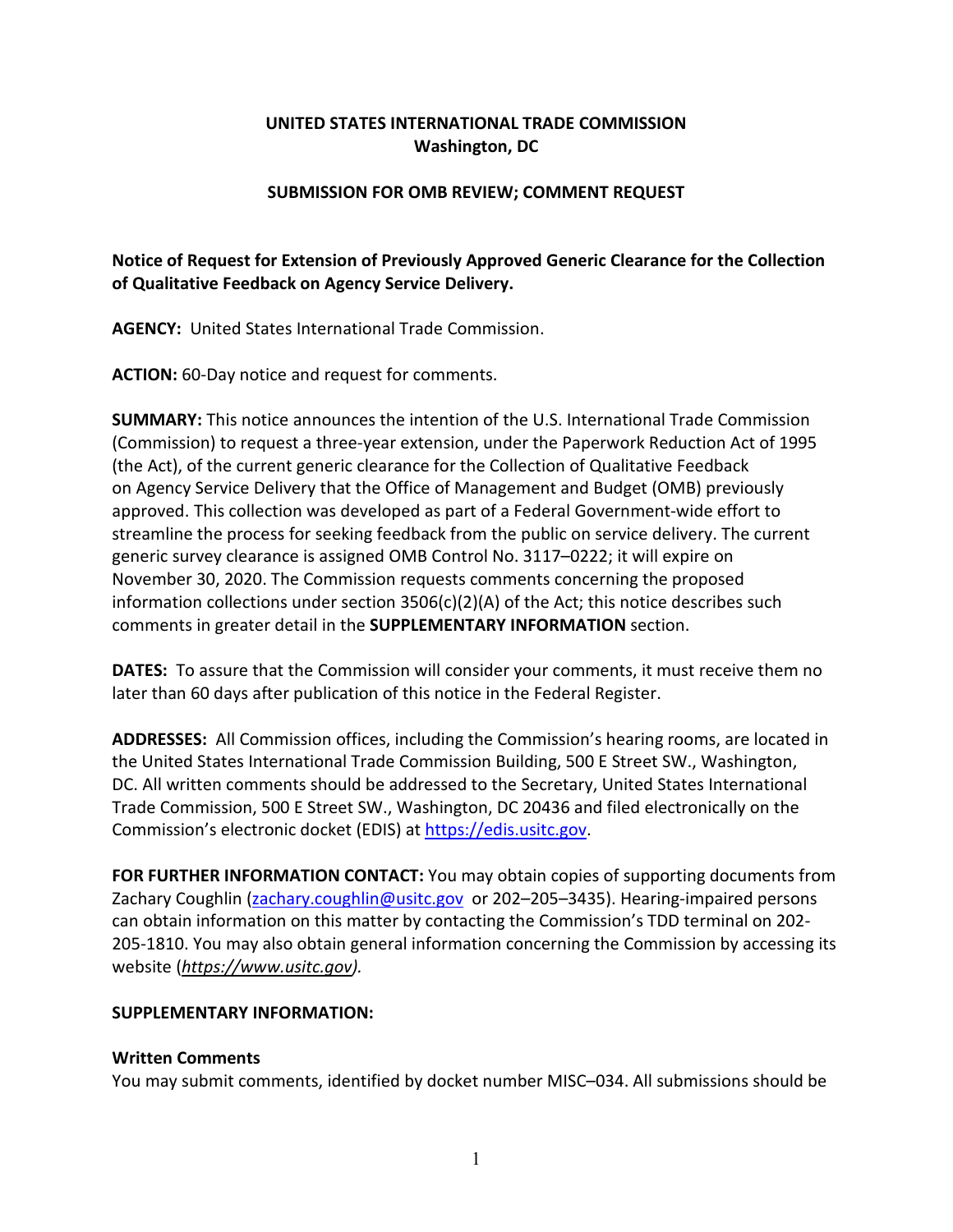# **UNITED STATES INTERNATIONAL TRADE COMMISSION Washington, DC**

### **SUBMISSION FOR OMB REVIEW; COMMENT REQUEST**

# **Notice of Request for Extension of Previously Approved Generic Clearance for the Collection of Qualitative Feedback on Agency Service Delivery.**

**AGENCY:** United States International Trade Commission.

**ACTION:** 60-Day notice and request for comments.

**SUMMARY:** This notice announces the intention of the U.S. International Trade Commission (Commission) to request a three-year extension, under the Paperwork Reduction Act of 1995 (the Act), of the current generic clearance for the Collection of Qualitative Feedback on Agency Service Delivery that the Office of Management and Budget (OMB) previously approved. This collection was developed as part of a Federal Government-wide effort to streamline the process for seeking feedback from the public on service delivery. The current generic survey clearance is assigned OMB Control No. 3117–0222; it will expire on November 30, 2020. The Commission requests comments concerning the proposed information collections under section 3506(c)(2)(A) of the Act; this notice describes such comments in greater detail in the **SUPPLEMENTARY INFORMATION** section.

**DATES:** To assure that the Commission will consider your comments, it must receive them no later than 60 days after publication of this notice in the Federal Register.

**ADDRESSES:** All Commission offices, including the Commission's hearing rooms, are located in the United States International Trade Commission Building, 500 E Street SW., Washington, DC. All written comments should be addressed to the Secretary, United States International Trade Commission, 500 E Street SW., Washington, DC 20436 and filed electronically on the Commission's electronic docket (EDIS) at [https://edis.usitc.gov.](https://edis.usitc.gov/)

**FOR FURTHER INFORMATION CONTACT:** You may obtain copies of supporting documents from Zachary Coughlin [\(zachary.coughlin@usitc.gov](mailto:zachary.coughlin@usitc.gov) or 202-205-3435). Hearing-impaired persons can obtain information on this matter by contacting the Commission's TDD terminal on 202- 205-1810. You may also obtain general information concerning the Commission by accessing its website (*[https://www.usitc.gov\)](https://www.usitc.gov/).*

#### **SUPPLEMENTARY INFORMATION:**

#### **Written Comments**

You may submit comments, identified by docket number MISC–034. All submissions should be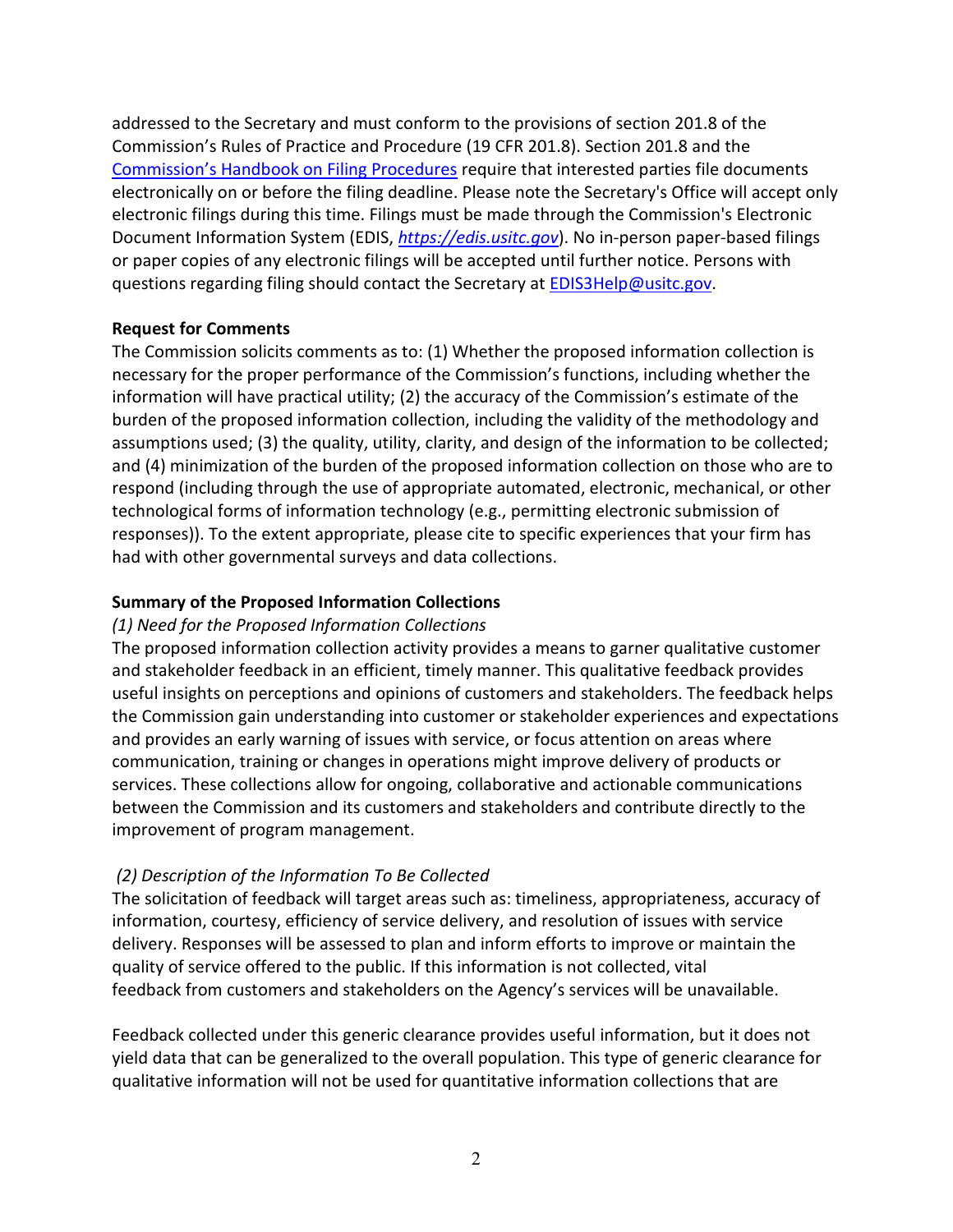addressed to the Secretary and must conform to the provisions of section 201.8 of the Commission's Rules of Practice and Procedure (19 CFR 201.8). Section 201.8 and the [Commission's Handbook on Filing Procedures](https://www.usitc.gov/documents/handbook_on_filing_procedures.pdf) require that interested parties file documents electronically on or before the filing deadline. Please note the Secretary's Office will accept only electronic filings during this time. Filings must be made through the Commission's Electronic Document Information System (EDIS, *[https://edis.usitc.gov](https://edis.usitc.gov/)*). No in-person paper-based filings or paper copies of any electronic filings will be accepted until further notice. Persons with questions regarding filing should contact the Secretary at [EDIS3Help@usitc.gov.](mailto:EDIS3Help@usitc.gov)

## **Request for Comments**

The Commission solicits comments as to: (1) Whether the proposed information collection is necessary for the proper performance of the Commission's functions, including whether the information will have practical utility; (2) the accuracy of the Commission's estimate of the burden of the proposed information collection, including the validity of the methodology and assumptions used; (3) the quality, utility, clarity, and design of the information to be collected; and (4) minimization of the burden of the proposed information collection on those who are to respond (including through the use of appropriate automated, electronic, mechanical, or other technological forms of information technology (e.g., permitting electronic submission of responses)). To the extent appropriate, please cite to specific experiences that your firm has had with other governmental surveys and data collections.

### **Summary of the Proposed Information Collections**

#### *(1) Need for the Proposed Information Collections*

The proposed information collection activity provides a means to garner qualitative customer and stakeholder feedback in an efficient, timely manner. This qualitative feedback provides useful insights on perceptions and opinions of customers and stakeholders. The feedback helps the Commission gain understanding into customer or stakeholder experiences and expectations and provides an early warning of issues with service, or focus attention on areas where communication, training or changes in operations might improve delivery of products or services. These collections allow for ongoing, collaborative and actionable communications between the Commission and its customers and stakeholders and contribute directly to the improvement of program management.

## *(2) Description of the Information To Be Collected*

The solicitation of feedback will target areas such as: timeliness, appropriateness, accuracy of information, courtesy, efficiency of service delivery, and resolution of issues with service delivery. Responses will be assessed to plan and inform efforts to improve or maintain the quality of service offered to the public. If this information is not collected, vital feedback from customers and stakeholders on the Agency's services will be unavailable.

Feedback collected under this generic clearance provides useful information, but it does not yield data that can be generalized to the overall population. This type of generic clearance for qualitative information will not be used for quantitative information collections that are